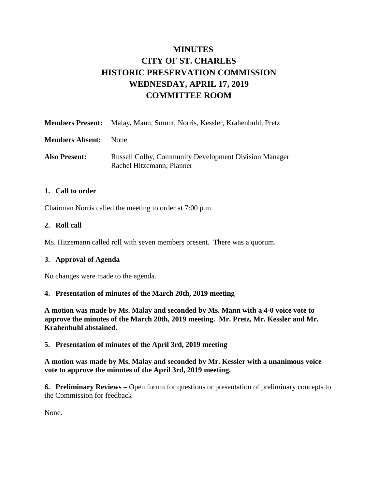# **MINUTES CITY OF ST. CHARLES HISTORIC PRESERVATION COMMISSION WEDNESDAY, APRIL 17, 2019 COMMITTEE ROOM**

|                        | <b>Members Present:</b> Malay, Mann, Smunt, Norris, Kessler, Krahenbuhl, Pretz            |
|------------------------|-------------------------------------------------------------------------------------------|
| <b>Members Absent:</b> | <b>None</b>                                                                               |
| <b>Also Present:</b>   | <b>Russell Colby, Community Development Division Manager</b><br>Rachel Hitzemann, Planner |

#### **1. Call to order**

Chairman Norris called the meeting to order at 7:00 p.m.

#### **2. Roll call**

Ms. Hitzemann called roll with seven members present. There was a quorum.

### **3. Approval of Agenda**

No changes were made to the agenda.

### **4. Presentation of minutes of the March 20th, 2019 meeting**

**A motion was made by Ms. Malay and seconded by Ms. Mann with a 4-0 voice vote to approve the minutes of the March 20th, 2019 meeting. Mr. Pretz, Mr. Kessler and Mr. Krahenbuhl abstained.** 

**5. Presentation of minutes of the April 3rd, 2019 meeting**

**A motion was made by Ms. Malay and seconded by Mr. Kessler with a unanimous voice vote to approve the minutes of the April 3rd, 2019 meeting.** 

**6. Preliminary Reviews –** Open forum for questions or presentation of preliminary concepts to the Commission for feedback

None.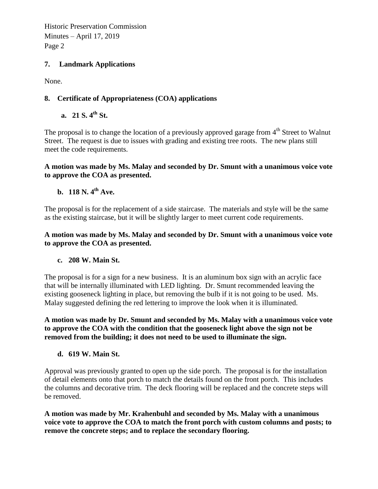Historic Preservation Commission Minutes – April 17, 2019 Page 2

### **7. Landmark Applications**

None.

## **8. Certificate of Appropriateness (COA) applications**

**a. 21 S. 4th St.**

The proposal is to change the location of a previously approved garage from  $4<sup>th</sup>$  Street to Walnut Street. The request is due to issues with grading and existing tree roots. The new plans still meet the code requirements.

#### **A motion was made by Ms. Malay and seconded by Dr. Smunt with a unanimous voice vote to approve the COA as presented.**

# **b. 118 N. 4th Ave.**

The proposal is for the replacement of a side staircase. The materials and style will be the same as the existing staircase, but it will be slightly larger to meet current code requirements.

**A motion was made by Ms. Malay and seconded by Dr. Smunt with a unanimous voice vote to approve the COA as presented.** 

### **c. 208 W. Main St.**

The proposal is for a sign for a new business. It is an aluminum box sign with an acrylic face that will be internally illuminated with LED lighting. Dr. Smunt recommended leaving the existing gooseneck lighting in place, but removing the bulb if it is not going to be used. Ms. Malay suggested defining the red lettering to improve the look when it is illuminated.

**A motion was made by Dr. Smunt and seconded by Ms. Malay with a unanimous voice vote to approve the COA with the condition that the gooseneck light above the sign not be removed from the building; it does not need to be used to illuminate the sign.** 

### **d. 619 W. Main St.**

Approval was previously granted to open up the side porch. The proposal is for the installation of detail elements onto that porch to match the details found on the front porch. This includes the columns and decorative trim. The deck flooring will be replaced and the concrete steps will be removed.

**A motion was made by Mr. Krahenbuhl and seconded by Ms. Malay with a unanimous voice vote to approve the COA to match the front porch with custom columns and posts; to remove the concrete steps; and to replace the secondary flooring.**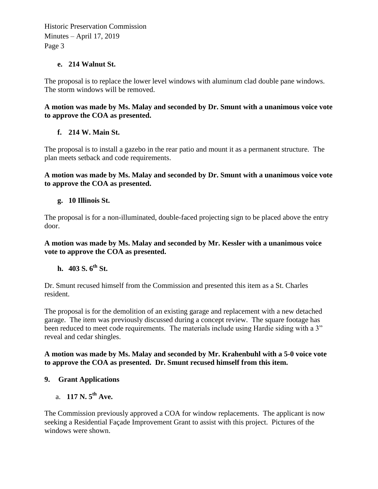Historic Preservation Commission Minutes – April 17, 2019 Page 3

### **e. 214 Walnut St.**

The proposal is to replace the lower level windows with aluminum clad double pane windows. The storm windows will be removed.

## **A motion was made by Ms. Malay and seconded by Dr. Smunt with a unanimous voice vote to approve the COA as presented.**

# **f. 214 W. Main St.**

The proposal is to install a gazebo in the rear patio and mount it as a permanent structure. The plan meets setback and code requirements.

**A motion was made by Ms. Malay and seconded by Dr. Smunt with a unanimous voice vote to approve the COA as presented.** 

## **g. 10 Illinois St.**

The proposal is for a non-illuminated, double-faced projecting sign to be placed above the entry door.

### **A motion was made by Ms. Malay and seconded by Mr. Kessler with a unanimous voice vote to approve the COA as presented.**

# **h. 403 S. 6th St.**

Dr. Smunt recused himself from the Commission and presented this item as a St. Charles resident.

The proposal is for the demolition of an existing garage and replacement with a new detached garage. The item was previously discussed during a concept review. The square footage has been reduced to meet code requirements. The materials include using Hardie siding with a 3" reveal and cedar shingles.

### **A motion was made by Ms. Malay and seconded by Mr. Krahenbuhl with a 5-0 voice vote to approve the COA as presented. Dr. Smunt recused himself from this item.**

# **9. Grant Applications**

a. **117 N. 5th Ave.** 

The Commission previously approved a COA for window replacements. The applicant is now seeking a Residential Façade Improvement Grant to assist with this project. Pictures of the windows were shown.